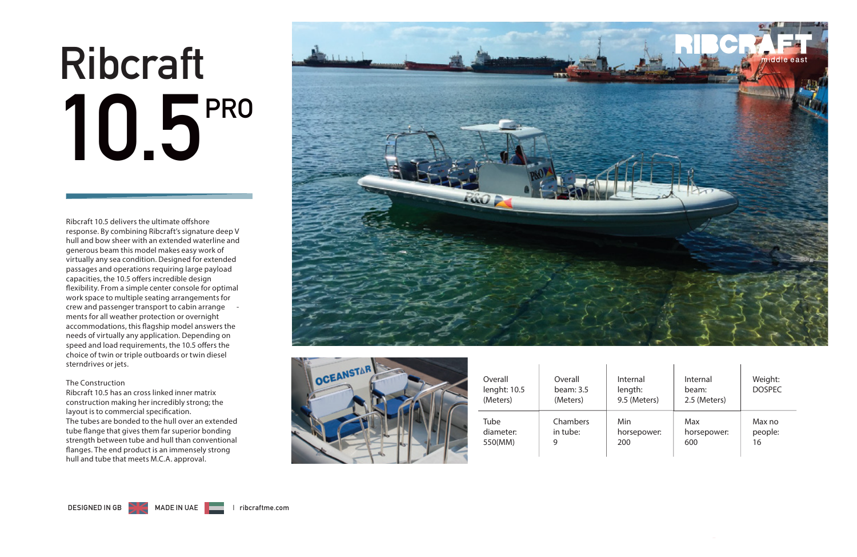# **1 0 . 5 P R O Ribcraft**

Ribcraft 10.5 delivers the ultimate offshore response. By combining Ribcraft's signature deep V hull and bow sheer with an extended waterline and generous beam this model makes easy work of virtually any sea condition. Designed for extended passages and operations requiring large payload capacities, the 10.5 offers incredible design flexibility. From a simple center console for optimal work space to multiple seating arrangements for crew and passenger transport to cabin arrange ments for all weather protection or overnight accommodations, this flagship model answers the needs of virtually any application. Depending on speed and load requirements, the 10.5 offers the choice of twin or triple outboards or twin diesel sterndrives or jets.

#### **The Construction**

Ribcraft 10.5 has an cross linked inner matrix construction making her incredibly strong; the layout is to commercial specification. The tubes are bonded to the hull over an extended tube flange that gives them far superior bonding strength between tube and hull than conventional flanges. The end product is an immensely strong hull and tube that meets M.C.A. approval.



 $\mathbf{L}$ 



| Overall<br>lenght: 10.5<br>(Meters) | Overall<br>beam: $3.5$<br>(Meters) | Internal<br>length:<br>9.5 (Meters) | Internal<br>beam:<br>2.5 (Meters) | Weight:<br><b>DOSPEC</b> |
|-------------------------------------|------------------------------------|-------------------------------------|-----------------------------------|--------------------------|
| Tube                                | Chambers                           | Min                                 | Max                               | Max no                   |
| diameter:                           | in tube:                           | horsepower:                         | horsepower:                       | people:                  |
| 550(MM)                             | 9                                  | 200                                 | 600                               | 16                       |

 $\mathbf{I}$ 

 $\overline{1}$ 

 $\overline{1}$